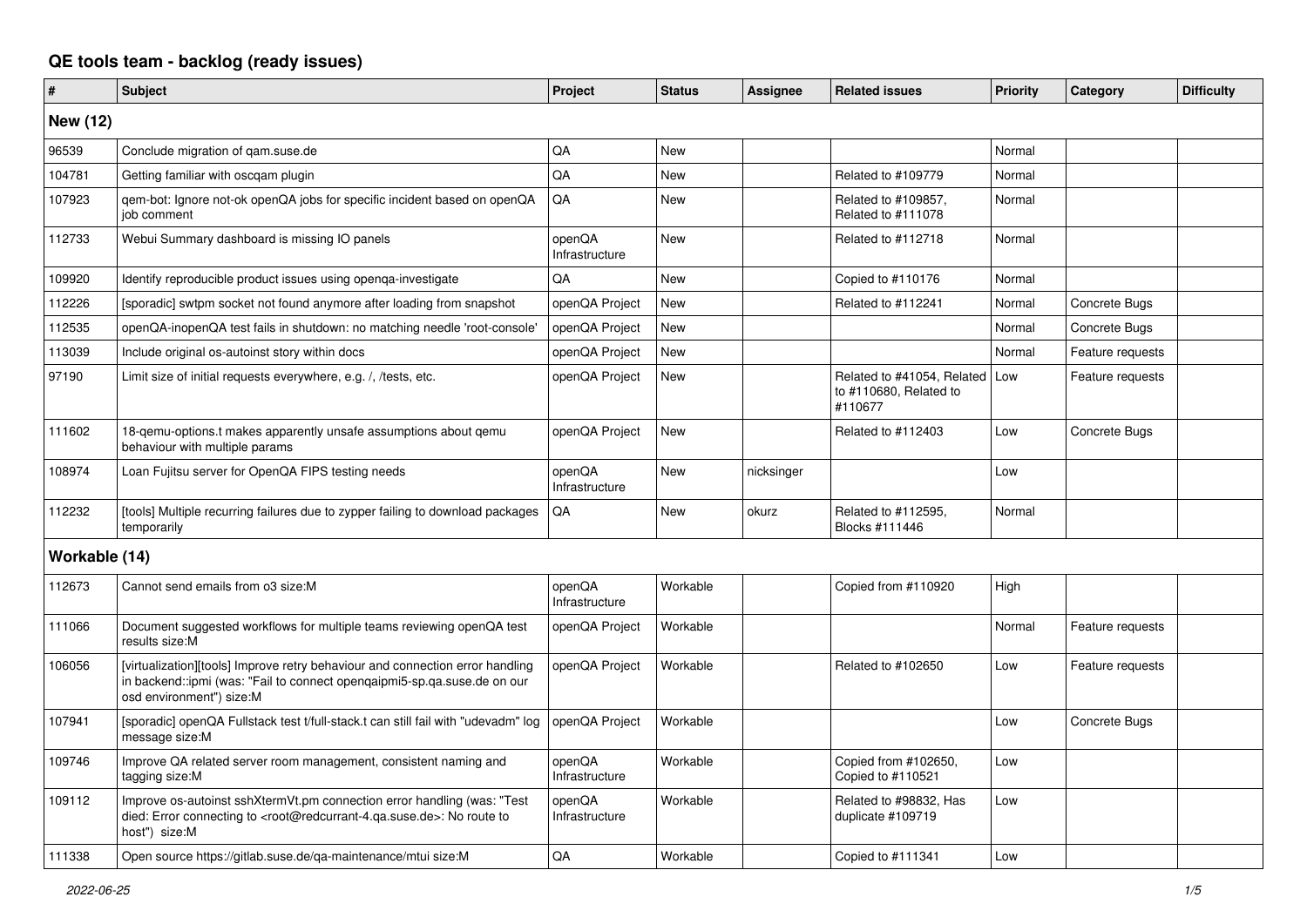## **QE tools team - backlog (ready issues)**

| $\vert$ #       | <b>Subject</b>                                                                                                                                                                                    | Project                  | <b>Status</b> | Assignee   | <b>Related issues</b>                                                 | <b>Priority</b> | Category         | <b>Difficulty</b> |
|-----------------|---------------------------------------------------------------------------------------------------------------------------------------------------------------------------------------------------|--------------------------|---------------|------------|-----------------------------------------------------------------------|-----------------|------------------|-------------------|
| <b>New (12)</b> |                                                                                                                                                                                                   |                          |               |            |                                                                       |                 |                  |                   |
| 96539           | Conclude migration of gam.suse.de                                                                                                                                                                 | QA                       | <b>New</b>    |            |                                                                       | Normal          |                  |                   |
| 104781          | Getting familiar with oscqam plugin                                                                                                                                                               | QA                       | New           |            | Related to #109779                                                    | Normal          |                  |                   |
| 107923          | qem-bot: Ignore not-ok openQA jobs for specific incident based on openQA<br>iob comment                                                                                                           | QA                       | <b>New</b>    |            | Related to #109857,<br>Related to #111078                             | Normal          |                  |                   |
| 112733          | Webui Summary dashboard is missing IO panels                                                                                                                                                      | openQA<br>Infrastructure | <b>New</b>    |            | Related to #112718                                                    | Normal          |                  |                   |
| 109920          | Identify reproducible product issues using openga-investigate                                                                                                                                     | QA                       | <b>New</b>    |            | Copied to #110176                                                     | Normal          |                  |                   |
| 112226          | [sporadic] swtpm socket not found anymore after loading from snapshot                                                                                                                             | openQA Project           | New           |            | Related to #112241                                                    | Normal          | Concrete Bugs    |                   |
| 112535          | openQA-inopenQA test fails in shutdown: no matching needle 'root-console'                                                                                                                         | openQA Project           | <b>New</b>    |            |                                                                       | Normal          | Concrete Bugs    |                   |
| 113039          | Include original os-autoinst story within docs                                                                                                                                                    | openQA Project           | <b>New</b>    |            |                                                                       | Normal          | Feature requests |                   |
| 97190           | Limit size of initial requests everywhere, e.g. /, /tests, etc.                                                                                                                                   | openQA Project           | <b>New</b>    |            | Related to #41054, Related   Low<br>to #110680, Related to<br>#110677 |                 | Feature requests |                   |
| 111602          | 18-gemu-options.t makes apparently unsafe assumptions about gemu<br>behaviour with multiple params                                                                                                | openQA Project           | New           |            | Related to #112403                                                    | Low             | Concrete Bugs    |                   |
| 108974          | Loan Fujitsu server for OpenQA FIPS testing needs                                                                                                                                                 | openQA<br>Infrastructure | New           | nicksinger |                                                                       | Low             |                  |                   |
| 112232          | [tools] Multiple recurring failures due to zypper failing to download packages<br>temporarily                                                                                                     | QA                       | <b>New</b>    | okurz      | Related to #112595,<br>Blocks #111446                                 | Normal          |                  |                   |
| Workable (14)   |                                                                                                                                                                                                   |                          |               |            |                                                                       |                 |                  |                   |
| 112673          | Cannot send emails from o3 size:M                                                                                                                                                                 | openQA<br>Infrastructure | Workable      |            | Copied from #110920                                                   | High            |                  |                   |
| 111066          | Document suggested workflows for multiple teams reviewing openQA test<br>results size:M                                                                                                           | openQA Project           | Workable      |            |                                                                       | Normal          | Feature requests |                   |
| 106056          | [virtualization][tools] Improve retry behaviour and connection error handling<br>in backend::ipmi (was: "Fail to connect openqaipmi5-sp.qa.suse.de on our<br>osd environment") size:M             | openQA Project           | Workable      |            | Related to #102650                                                    | Low             | Feature requests |                   |
| 107941          | [sporadic] openQA Fullstack test t/full-stack.t can still fail with "udevadm" log<br>message size:M                                                                                               | openQA Project           | Workable      |            |                                                                       | Low             | Concrete Bugs    |                   |
| 109746          | Improve QA related server room management, consistent naming and<br>tagging size:M                                                                                                                | openQA<br>Infrastructure | Workable      |            | Copied from #102650,<br>Copied to #110521                             | Low             |                  |                   |
| 109112          | Improve os-autoinst sshXtermVt.pm connection error handling (was: "Test<br>died: Error connecting to <root@redcurrant-4.qa.suse.de>: No route to<br/>host") size:M</root@redcurrant-4.qa.suse.de> | openQA<br>Infrastructure | Workable      |            | Related to #98832, Has<br>duplicate #109719                           | Low             |                  |                   |
| 111338          | Open source https://gitlab.suse.de/qa-maintenance/mtui size:M                                                                                                                                     | QA                       | Workable      |            | Copied to #111341                                                     | Low             |                  |                   |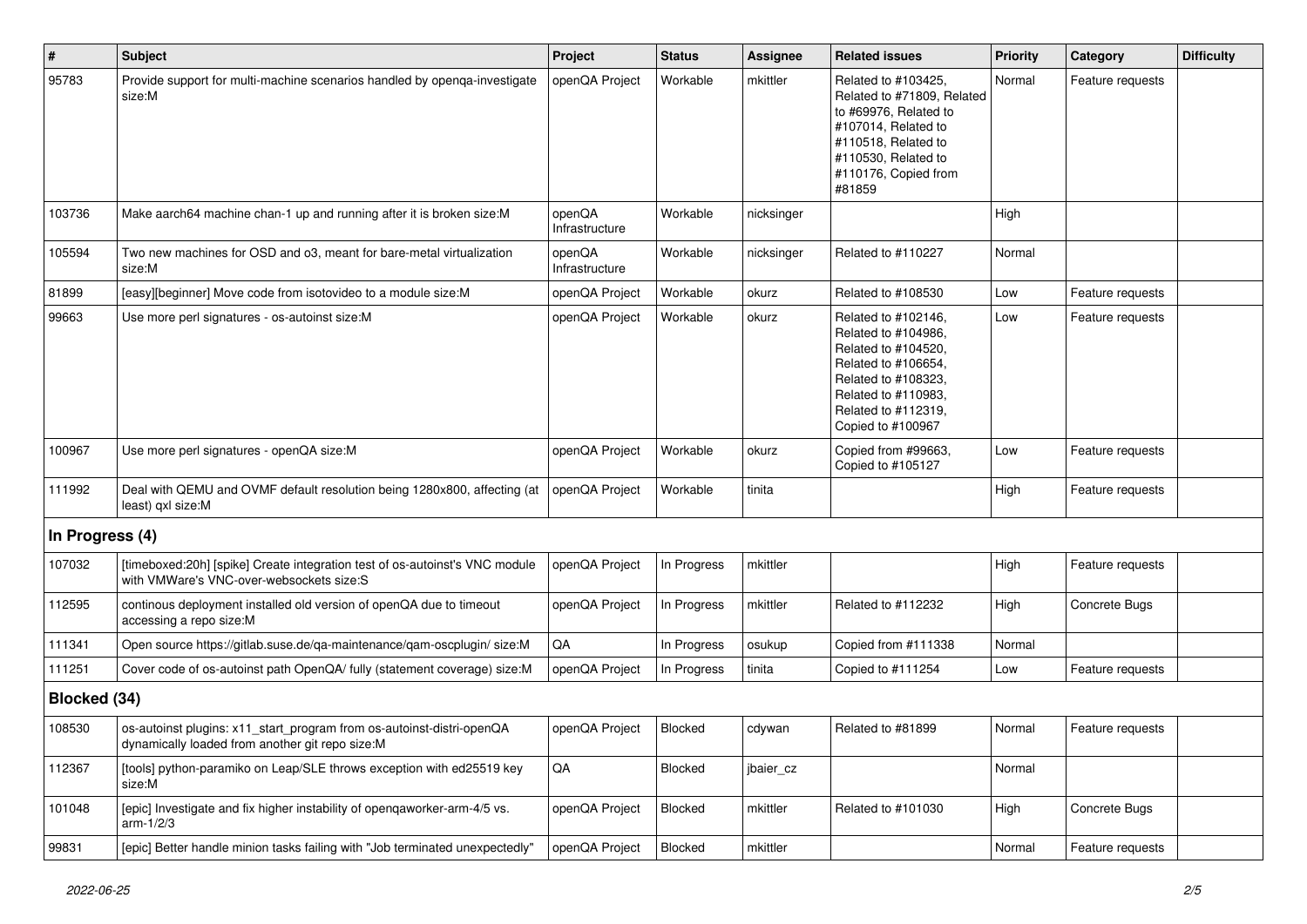| $\sharp$        | <b>Subject</b>                                                                                                           | Project                  | <b>Status</b> | <b>Assignee</b> | <b>Related issues</b>                                                                                                                                                              | <b>Priority</b> | Category         | <b>Difficulty</b> |
|-----------------|--------------------------------------------------------------------------------------------------------------------------|--------------------------|---------------|-----------------|------------------------------------------------------------------------------------------------------------------------------------------------------------------------------------|-----------------|------------------|-------------------|
| 95783           | Provide support for multi-machine scenarios handled by openga-investigate<br>size:M                                      | openQA Project           | Workable      | mkittler        | Related to #103425,<br>Related to #71809, Related<br>to #69976, Related to<br>#107014, Related to<br>#110518, Related to<br>#110530, Related to<br>#110176, Copied from<br>#81859  | Normal          | Feature requests |                   |
| 103736          | Make aarch64 machine chan-1 up and running after it is broken size:M                                                     | openQA<br>Infrastructure | Workable      | nicksinger      |                                                                                                                                                                                    | High            |                  |                   |
| 105594          | Two new machines for OSD and o3, meant for bare-metal virtualization<br>size:M                                           | openQA<br>Infrastructure | Workable      | nicksinger      | Related to #110227                                                                                                                                                                 | Normal          |                  |                   |
| 81899           | [easy][beginner] Move code from isotovideo to a module size:M                                                            | openQA Project           | Workable      | okurz           | Related to #108530                                                                                                                                                                 | Low             | Feature requests |                   |
| 99663           | Use more perl signatures - os-autoinst size:M                                                                            | openQA Project           | Workable      | okurz           | Related to #102146,<br>Related to #104986,<br>Related to #104520,<br>Related to #106654,<br>Related to #108323,<br>Related to #110983,<br>Related to #112319,<br>Copied to #100967 | Low             | Feature requests |                   |
| 100967          | Use more perl signatures - openQA size:M                                                                                 | openQA Project           | Workable      | okurz           | Copied from #99663,<br>Copied to #105127                                                                                                                                           | Low             | Feature requests |                   |
| 111992          | Deal with QEMU and OVMF default resolution being 1280x800, affecting (at<br>least) qxl size:M                            | openQA Project           | Workable      | tinita          |                                                                                                                                                                                    | High            | Feature requests |                   |
| In Progress (4) |                                                                                                                          |                          |               |                 |                                                                                                                                                                                    |                 |                  |                   |
| 107032          | [timeboxed:20h] [spike] Create integration test of os-autoinst's VNC module<br>with VMWare's VNC-over-websockets size:S  | openQA Project           | In Progress   | mkittler        |                                                                                                                                                                                    | High            | Feature requests |                   |
| 112595          | continous deployment installed old version of openQA due to timeout<br>accessing a repo size:M                           | openQA Project           | In Progress   | mkittler        | Related to #112232                                                                                                                                                                 | High            | Concrete Bugs    |                   |
| 111341          | Open source https://gitlab.suse.de/qa-maintenance/qam-oscplugin/ size:M                                                  | QA                       | In Progress   | osukup          | Copied from #111338                                                                                                                                                                | Normal          |                  |                   |
| 111251          | Cover code of os-autoinst path OpenQA/ fully (statement coverage) size:M                                                 | openQA Project           | In Progress   | tinita          | Copied to #111254                                                                                                                                                                  | Low             | Feature requests |                   |
| Blocked (34)    |                                                                                                                          |                          |               |                 |                                                                                                                                                                                    |                 |                  |                   |
| 108530          | os-autoinst plugins: x11_start_program from os-autoinst-distri-openQA<br>dynamically loaded from another git repo size:M | openQA Project           | Blocked       | cdywan          | Related to #81899                                                                                                                                                                  | Normal          | Feature requests |                   |
| 112367          | [tools] python-paramiko on Leap/SLE throws exception with ed25519 key<br>size:M                                          | QA                       | Blocked       | jbaier_cz       |                                                                                                                                                                                    | Normal          |                  |                   |
| 101048          | [epic] Investigate and fix higher instability of opengaworker-arm-4/5 vs.<br>arm-1/2/3                                   | openQA Project           | Blocked       | mkittler        | Related to #101030                                                                                                                                                                 | High            | Concrete Bugs    |                   |
| 99831           | [epic] Better handle minion tasks failing with "Job terminated unexpectedly"                                             | openQA Project           | Blocked       | mkittler        |                                                                                                                                                                                    | Normal          | Feature requests |                   |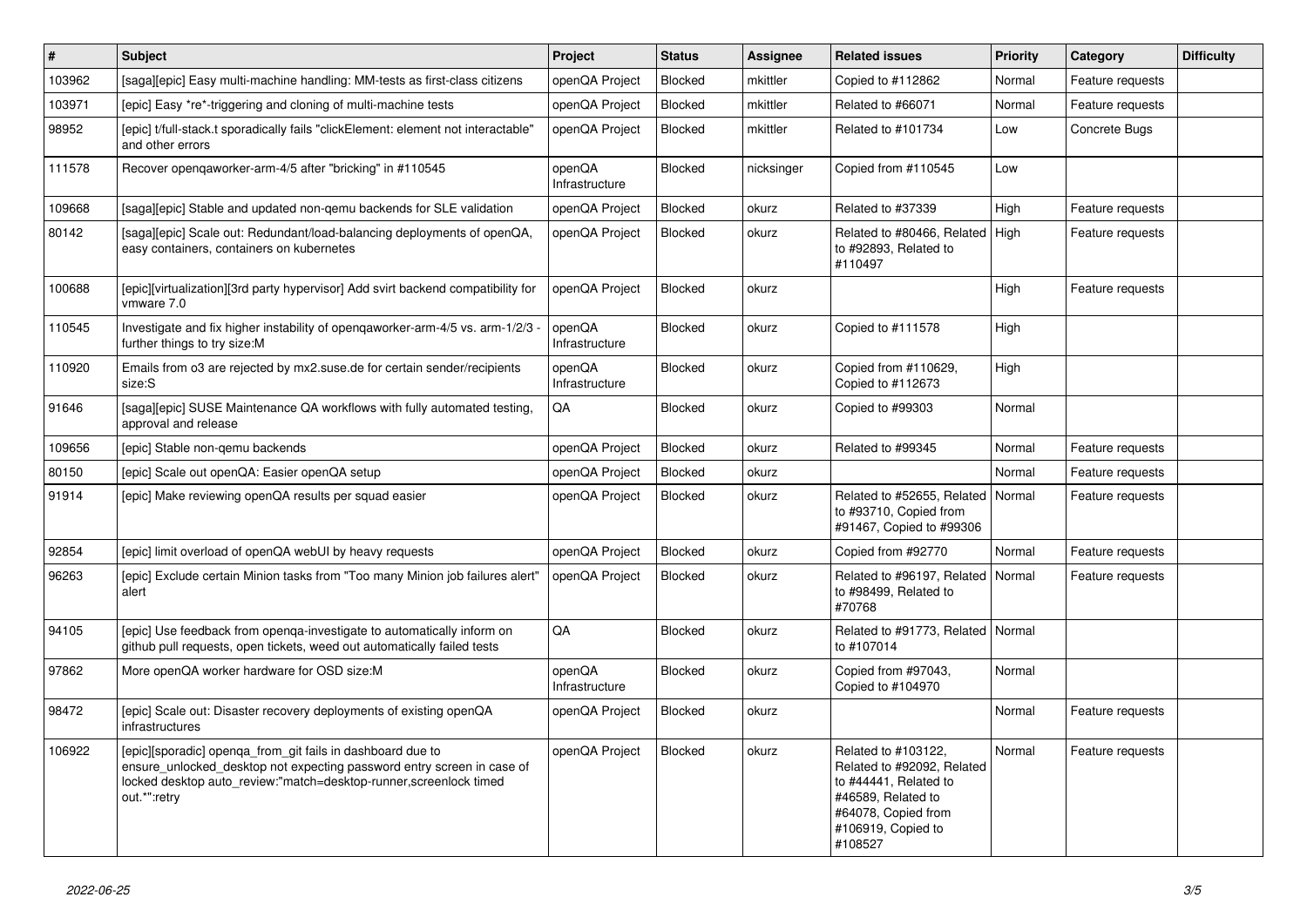| $\pmb{\#}$ | <b>Subject</b>                                                                                                                                                                                                             | Project                  | <b>Status</b>  | <b>Assignee</b> | <b>Related issues</b>                                                                                                                                    | <b>Priority</b> | Category         | <b>Difficulty</b> |
|------------|----------------------------------------------------------------------------------------------------------------------------------------------------------------------------------------------------------------------------|--------------------------|----------------|-----------------|----------------------------------------------------------------------------------------------------------------------------------------------------------|-----------------|------------------|-------------------|
| 103962     | [saga][epic] Easy multi-machine handling: MM-tests as first-class citizens                                                                                                                                                 | openQA Project           | Blocked        | mkittler        | Copied to #112862                                                                                                                                        | Normal          | Feature requests |                   |
| 103971     | [epic] Easy *re*-triggering and cloning of multi-machine tests                                                                                                                                                             | openQA Project           | Blocked        | mkittler        | Related to #66071                                                                                                                                        | Normal          | Feature requests |                   |
| 98952      | [epic] t/full-stack.t sporadically fails "clickElement: element not interactable"<br>and other errors                                                                                                                      | openQA Project           | Blocked        | mkittler        | Related to #101734                                                                                                                                       | Low             | Concrete Bugs    |                   |
| 111578     | Recover opengaworker-arm-4/5 after "bricking" in #110545                                                                                                                                                                   | openQA<br>Infrastructure | Blocked        | nicksinger      | Copied from #110545                                                                                                                                      | Low             |                  |                   |
| 109668     | [saga][epic] Stable and updated non-gemu backends for SLE validation                                                                                                                                                       | openQA Project           | Blocked        | okurz           | Related to #37339                                                                                                                                        | High            | Feature requests |                   |
| 80142      | [saga][epic] Scale out: Redundant/load-balancing deployments of openQA,<br>easy containers, containers on kubernetes                                                                                                       | openQA Project           | Blocked        | okurz           | Related to #80466, Related<br>to #92893, Related to<br>#110497                                                                                           | High            | Feature requests |                   |
| 100688     | [epic][virtualization][3rd party hypervisor] Add svirt backend compatibility for<br>vmware 7.0                                                                                                                             | openQA Project           | Blocked        | okurz           |                                                                                                                                                          | High            | Feature requests |                   |
| 110545     | Investigate and fix higher instability of opengaworker-arm-4/5 vs. arm-1/2/3<br>further things to try size:M                                                                                                               | openQA<br>Infrastructure | Blocked        | okurz           | Copied to #111578                                                                                                                                        | High            |                  |                   |
| 110920     | Emails from o3 are rejected by mx2.suse.de for certain sender/recipients<br>size:S                                                                                                                                         | openQA<br>Infrastructure | <b>Blocked</b> | okurz           | Copied from #110629,<br>Copied to #112673                                                                                                                | High            |                  |                   |
| 91646      | [saga][epic] SUSE Maintenance QA workflows with fully automated testing.<br>approval and release                                                                                                                           | QA                       | Blocked        | okurz           | Copied to #99303                                                                                                                                         | Normal          |                  |                   |
| 109656     | [epic] Stable non-gemu backends                                                                                                                                                                                            | openQA Project           | Blocked        | okurz           | Related to #99345                                                                                                                                        | Normal          | Feature requests |                   |
| 80150      | [epic] Scale out openQA: Easier openQA setup                                                                                                                                                                               | openQA Project           | Blocked        | okurz           |                                                                                                                                                          | Normal          | Feature requests |                   |
| 91914      | [epic] Make reviewing openQA results per squad easier                                                                                                                                                                      | openQA Project           | Blocked        | okurz           | Related to #52655, Related<br>to #93710, Copied from<br>#91467, Copied to #99306                                                                         | Normal          | Feature requests |                   |
| 92854      | [epic] limit overload of openQA webUI by heavy requests                                                                                                                                                                    | openQA Project           | Blocked        | okurz           | Copied from #92770                                                                                                                                       | Normal          | Feature requests |                   |
| 96263      | [epic] Exclude certain Minion tasks from "Too many Minion job failures alert"<br>alert                                                                                                                                     | openQA Project           | Blocked        | okurz           | Related to #96197, Related<br>to #98499, Related to<br>#70768                                                                                            | Normal          | Feature requests |                   |
| 94105      | [epic] Use feedback from openga-investigate to automatically inform on<br>github pull requests, open tickets, weed out automatically failed tests                                                                          | QA                       | Blocked        | okurz           | Related to #91773, Related<br>to #107014                                                                                                                 | Normal          |                  |                   |
| 97862      | More openQA worker hardware for OSD size:M                                                                                                                                                                                 | openQA<br>Infrastructure | Blocked        | okurz           | Copied from #97043,<br>Copied to #104970                                                                                                                 | Normal          |                  |                   |
| 98472      | [epic] Scale out: Disaster recovery deployments of existing openQA<br>infrastructures                                                                                                                                      | openQA Project           | Blocked        | okurz           |                                                                                                                                                          | Normal          | Feature requests |                   |
| 106922     | [epic][sporadic] openqa_from_git fails in dashboard due to<br>ensure_unlocked_desktop not expecting password entry screen in case of<br>locked desktop auto_review:"match=desktop-runner, screenlock timed<br>out.*":retry | openQA Project           | Blocked        | okurz           | Related to #103122,<br>Related to #92092, Related<br>to #44441, Related to<br>#46589, Related to<br>#64078, Copied from<br>#106919, Copied to<br>#108527 | Normal          | Feature requests |                   |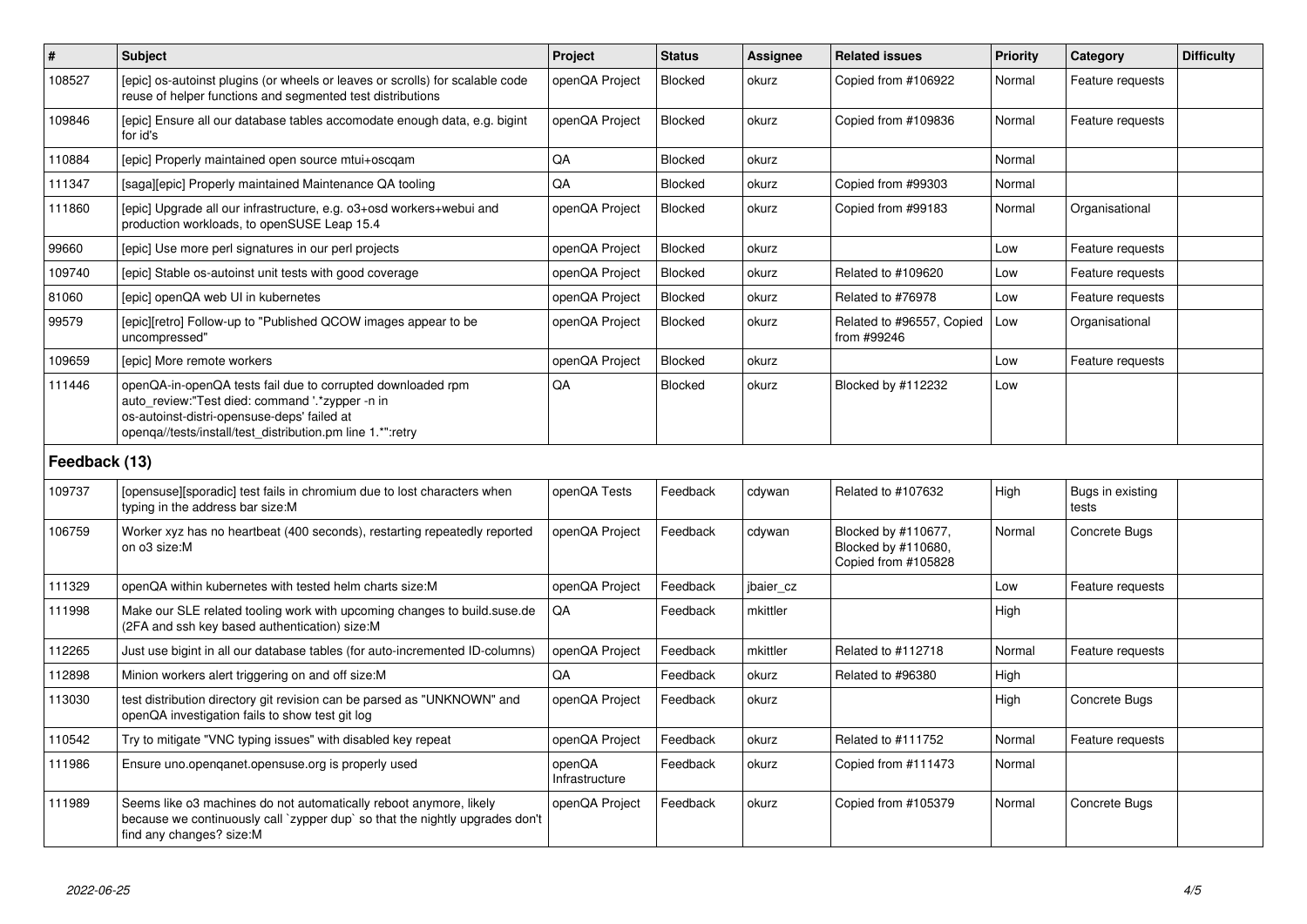| $\vert$ #     | <b>Subject</b>                                                                                                                                                                                                              | <b>Project</b>           | <b>Status</b> | Assignee  | <b>Related issues</b>                                             | <b>Priority</b> | Category                  | <b>Difficulty</b> |
|---------------|-----------------------------------------------------------------------------------------------------------------------------------------------------------------------------------------------------------------------------|--------------------------|---------------|-----------|-------------------------------------------------------------------|-----------------|---------------------------|-------------------|
| 108527        | [epic] os-autoinst plugins (or wheels or leaves or scrolls) for scalable code<br>reuse of helper functions and segmented test distributions                                                                                 | openQA Project           | Blocked       | okurz     | Copied from #106922                                               | Normal          | Feature requests          |                   |
| 109846        | [epic] Ensure all our database tables accomodate enough data, e.g. bigint<br>for id's                                                                                                                                       | openQA Project           | Blocked       | okurz     | Copied from #109836                                               | Normal          | Feature requests          |                   |
| 110884        | [epic] Properly maintained open source mtui+oscgam                                                                                                                                                                          | QA                       | Blocked       | okurz     |                                                                   | Normal          |                           |                   |
| 111347        | [saga][epic] Properly maintained Maintenance QA tooling                                                                                                                                                                     | QA                       | Blocked       | okurz     | Copied from #99303                                                | Normal          |                           |                   |
| 111860        | [epic] Upgrade all our infrastructure, e.g. o3+osd workers+webui and<br>production workloads, to openSUSE Leap 15.4                                                                                                         | openQA Project           | Blocked       | okurz     | Copied from #99183                                                | Normal          | Organisational            |                   |
| 99660         | [epic] Use more perl signatures in our perl projects                                                                                                                                                                        | openQA Project           | Blocked       | okurz     |                                                                   | Low             | Feature requests          |                   |
| 109740        | [epic] Stable os-autoinst unit tests with good coverage                                                                                                                                                                     | openQA Project           | Blocked       | okurz     | Related to #109620                                                | Low             | Feature requests          |                   |
| 81060         | [epic] openQA web UI in kubernetes                                                                                                                                                                                          | openQA Project           | Blocked       | okurz     | Related to #76978                                                 | Low             | Feature requests          |                   |
| 99579         | [epic][retro] Follow-up to "Published QCOW images appear to be<br>uncompressed"                                                                                                                                             | openQA Project           | Blocked       | okurz     | Related to #96557, Copied<br>from #99246                          | Low             | Organisational            |                   |
| 109659        | [epic] More remote workers                                                                                                                                                                                                  | openQA Project           | Blocked       | okurz     |                                                                   | Low             | Feature requests          |                   |
| 111446        | openQA-in-openQA tests fail due to corrupted downloaded rpm<br>auto_review:"Test died: command '.*zypper -n in<br>os-autoinst-distri-opensuse-deps' failed at<br>openga//tests/install/test_distribution.pm line 1.*":retry | QA                       | Blocked       | okurz     | Blocked by #112232                                                | Low             |                           |                   |
| Feedback (13) |                                                                                                                                                                                                                             |                          |               |           |                                                                   |                 |                           |                   |
| 109737        | [opensuse][sporadic] test fails in chromium due to lost characters when<br>typing in the address bar size:M                                                                                                                 | openQA Tests             | Feedback      | cdywan    | Related to #107632                                                | High            | Bugs in existing<br>tests |                   |
| 106759        | Worker xyz has no heartbeat (400 seconds), restarting repeatedly reported<br>on o3 size:M                                                                                                                                   | openQA Project           | Feedback      | cdywan    | Blocked by #110677,<br>Blocked by #110680,<br>Copied from #105828 | Normal          | Concrete Bugs             |                   |
| 111329        | openQA within kubernetes with tested helm charts size:M                                                                                                                                                                     | openQA Project           | Feedback      | jbaier_cz |                                                                   | Low             | Feature requests          |                   |
| 111998        | Make our SLE related tooling work with upcoming changes to build.suse.de<br>(2FA and ssh key based authentication) size:M                                                                                                   | QA                       | Feedback      | mkittler  |                                                                   | High            |                           |                   |
| 112265        | Just use bigint in all our database tables (for auto-incremented ID-columns)                                                                                                                                                | openQA Project           | Feedback      | mkittler  | Related to #112718                                                | Normal          | Feature requests          |                   |
| 112898        | Minion workers alert triggering on and off size: M                                                                                                                                                                          | QA                       | Feedback      | okurz     | Related to #96380                                                 | High            |                           |                   |
| 113030        | test distribution directory git revision can be parsed as "UNKNOWN" and<br>openQA investigation fails to show test git log                                                                                                  | openQA Project           | Feedback      | okurz     |                                                                   | High            | Concrete Bugs             |                   |
| 110542        | Try to mitigate "VNC typing issues" with disabled key repeat                                                                                                                                                                | openQA Project           | Feedback      | okurz     | Related to #111752                                                | Normal          | Feature requests          |                   |
| 111986        | Ensure uno.openqanet.opensuse.org is properly used                                                                                                                                                                          | openQA<br>Infrastructure | Feedback      | okurz     | Copied from #111473                                               | Normal          |                           |                   |
| 111989        | Seems like o3 machines do not automatically reboot anymore, likely<br>because we continuously call `zypper dup` so that the nightly upgrades don't<br>find any changes? size:M                                              | openQA Project           | Feedback      | okurz     | Copied from #105379                                               | Normal          | Concrete Bugs             |                   |